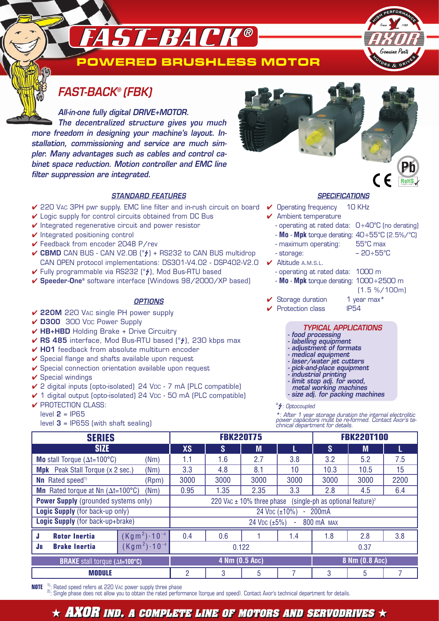# **ST-BACK®**



## **FAST-BACK® (FBK)**

**All-in-one fully digital DRIVE+MOTOR. The decentralized structure gives you much more freedom in designing your machine's layout. Installation, commissioning and service are much simpler. Many advantages such as cables and control cabinet space reduction. Motion controller and EMC line filter suppression are integrated.**

### **STANDARD FEATURES**

- $\checkmark$  220 Vac 3PH pwr supply. EMC line filter and in-rush circuit on board  $\checkmark$  Operating frequency  $\,$  10 KHz
- $\vee$  Logic supply for control circuits obtained from DC Bus
- $\vee$  Integrated regenerative circuit and power resistor
- ✔ Integrated positioning control
- ✔ Feedback from encoder 2048 P/rev
- **✓ CBMD** CAN BUS CAN V2.0B (2) + RS232 to CAN BUS multidrop CAN OPEN protocol implementations: DS301-V4.02 - DSP402-V2.0
- ✔ Fully programmable via RS232 [°/], Mod Bus-RTU based
- ✔ **Speeder-One®** software interface (Windows 98/2000/XP based)

#### **OPTIONS**

- ✔ **220M** 220 VAC single PH power supply
- ✔ **D300** 300 VDC Power Supply
- ✔ **HB+HBD** Holding Brake + Drive Circuitry
- **√ RS 485** interface, Mod Bus-RTU based [°4], 230 kbps max
- ✔ **H01** feedback from absolute multiturn encoder
- ✔ Special flange and shafts available upon request
- $\vee$  Special connection orientation available upon request
- $\checkmark$  Special windings
- ✔ 2 digital inputs (opto-isolated) 24 VDC 7 mA (PLC compatible)
- ✔ 1 digital output (opto-isolated) 24 VDC 50 mA (PLC compatible)
- ✔ PROTECTION CLASS:
	- level **2** = IP65
	- level **3** = IP65S (with shaft sealing)



#### **SPECIFICATIONS**

- 
- $\checkmark$  Ambient temperature
- operating at rated data: 0 ÷40°C (no derating)
- **Mo Mpk** torque derating: 40÷55°C (2.5%/°C)
	- maximum operating: 55°C max
	- storage: 20 ÷55°C
- ✔ Altitude A.M.S.L.
	- operating at rated data: 1000 m
- **Mo Mpk** torque derating: 1000 ÷2500 m
	- (1.5 %/100m)

COMPLIANT

- $\checkmark$  Storage duration 1 year max<sup>\*</sup>
- ✔ Protection class IP54

#### **TYPICAL APPLICATIONS**

- **food processing**
- **labelling equipment**
- **adjustment of formats**
- **medical equipment**
- **laser/water jet cutters - pick-and-place equipment**
- **industrial printing**
- **limit stop adj. for wood,**
- **metal working machines**
- **size adj. for packing machines**

#### <sup>o</sup> $\frac{1}{2}$ : Optocoupled

**\***: After 1 year storage duration the internal electrolitic power capacitors must be re-formed. Contact Axor's te-chnical department for details.

| <b>SERIES</b>                                                    |                        | <b>FBK220T75</b>                                                              |          |      |      | <b>FBK220T100</b> |      |      |
|------------------------------------------------------------------|------------------------|-------------------------------------------------------------------------------|----------|------|------|-------------------|------|------|
| <b>SIZE</b>                                                      |                        | <b>XS</b>                                                                     | <b>S</b> | M    |      | S                 | M    |      |
| <b>Mo</b> stall Torque $(\Delta t = 100^{\circ}C)$<br>(Nm)       |                        | 1.1                                                                           | 1.6      | 2.7  | 3.8  | 3.2               | 5.2  | 7.5  |
| <b>Mpk</b> Peak Stall Torque (x 2 sec.)<br>(Nm)                  |                        | 3.3                                                                           | 4.8      | 8.1  | 10   | 10.3              | 10.5 | 15   |
| <b>Nn</b> Rated speed <sup>1)</sup><br>(Rpm)                     |                        | 3000                                                                          | 3000     | 3000 | 3000 | 3000              | 3000 | 2200 |
| <b>Mn</b> Rated torque at Nn $(\Delta t = 100^{\circ}C)$<br>(Nm) |                        | 0.95                                                                          | 1.35     | 2.35 | 3.3  | 2.8               | 4.5  | 6.4  |
| <b>Power Supply</b> (grounded systems only)                      |                        | (single-ph as optional feature) <sup>2</sup><br>220 VAC $\pm$ 10% three phase |          |      |      |                   |      |      |
| <b>Logic Supply</b> (for back-up only)                           |                        | 24 VDC (±10%)<br>200mA                                                        |          |      |      |                   |      |      |
| Logic Supply (for back-up+brake)                                 |                        | 24 V <sub>DC</sub> $(\pm 5\%)$<br>800 mA MAX<br>$\sim$                        |          |      |      |                   |      |      |
| <b>Rotor Inertia</b><br>Ы                                        | $(Kgm2) \cdot 10^{-4}$ | 0.4                                                                           | 0.6      |      | 1.4  | 1.8               | 2.8  | 3.8  |
| <b>Brake Inertia</b><br><b>JB</b>                                | $(Kgm2) \cdot 10^{-4}$ | 0.122                                                                         |          |      | 0.37 |                   |      |      |
| <b>BRAKE</b> stall torque (At=100°C)                             |                        | 4 Nm (0.5 Apc)                                                                |          |      |      | 8 Nm (0.8 Apc)    |      |      |
| <b>MODULE</b>                                                    |                        | 2                                                                             | 3        | 5    |      | 3                 | 5    |      |

**NOTE** <sup>1)</sup>: Rated speed refers at 220 VAC power supply three phase<br><sup>2)</sup>: Single phase does not allow you to obtain the rated performance (torque and speed). Contact Axor's technical department for details.

 $\star$  AXOR ind. A complete line of motors and servodrives  $\star$